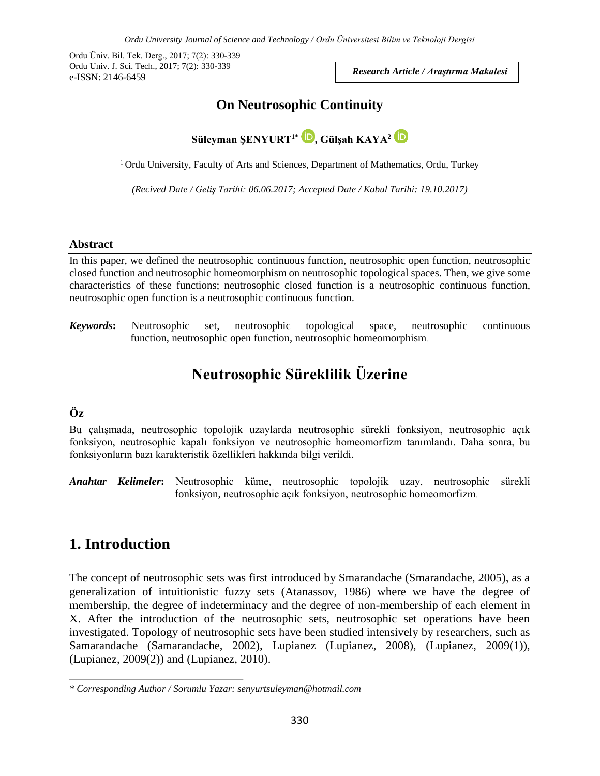Ordu Üniv. Bil. Tek. Derg., 2017; 7(2): 330-339 Ordu Univ. J. Sci. Tech., 2017; 7(2): 330-339 e-ISSN: 2146-6459

*Research Article / Araştırma Makalesi*

### **On Neutrosophic Continuity**



<sup>1</sup> Ordu University, Faculty of Arts and Sciences, Department of Mathematics, Ordu, Turkey

*(Recived Date / Geliş Tarihi: 06.06.2017; Accepted Date / Kabul Tarihi: 19.10.2017)*

#### **Abstract**

In this paper, we defined the neutrosophic continuous function, neutrosophic open function, neutrosophic closed function and neutrosophic homeomorphism on neutrosophic topological spaces. Then, we give some characteristics of these functions; neutrosophic closed function is a neutrosophic continuous function, neutrosophic open function is a neutrosophic continuous function.

*Keywords***:** Neutrosophic set, neutrosophic topological space, neutrosophic continuous function, neutrosophic open function, neutrosophic homeomorphism.

# **Neutrosophic Süreklilik Üzerine**

#### **Öz**

Bu çalışmada, neutrosophic topolojik uzaylarda neutrosophic sürekli fonksiyon, neutrosophic açık fonksiyon, neutrosophic kapalı fonksiyon ve neutrosophic homeomorfizm tanımlandı. Daha sonra, bu fonksiyonların bazı karakteristik özellikleri hakkında bilgi verildi.

*Anahtar Kelimeler***:** Neutrosophic küme, neutrosophic topolojik uzay, neutrosophic sürekli fonksiyon, neutrosophic açık fonksiyon, neutrosophic homeomorfizm.

## **1. Introduction**

The concept of neutrosophic sets was first introduced by Smarandache (Smarandache, 2005), as a generalization of intuitionistic fuzzy sets (Atanassov, 1986) where we have the degree of membership, the degree of indeterminacy and the degree of non-membership of each element in X. After the introduction of the neutrosophic sets, neutrosophic set operations have been investigated. Topology of neutrosophic sets have been studied intensively by researchers, such as Samarandache (Samarandache, 2002), Lupianez (Lupianez, 2008), (Lupianez, 2009(1)), (Lupianez, 2009(2)) and (Lupianez, 2010).

*<sup>\*</sup> Corresponding Author / Sorumlu Yazar: senyurtsuleyman@hotmail.com*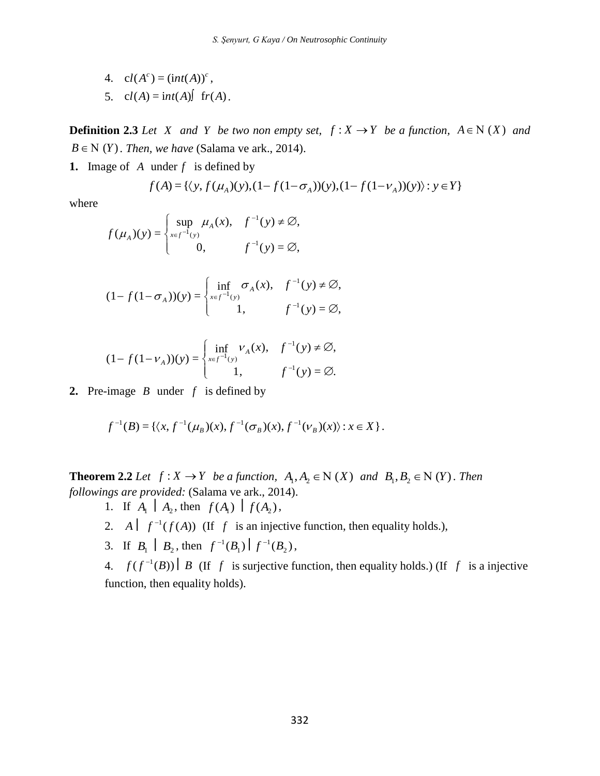4.  $cl(A^{c}) = (int(A))^{c}$ , 5.  $cl(A) = int(A)$   $fr(A)$ .

**Definition 2.3** *Let X* and *Y be two non empty set,*  $f: X \rightarrow Y$  *be a function,*  $A \in N(X)$  *and*  $B \in N(Y)$ . *Then, we have* (Salama ve ark., 2014).

**1.** Image of A under  $f$  is defined by

$$
f(A) = \{ \langle y, f(\mu_A)(y), (1 - f(1 - \sigma_A))(y), (1 - f(1 - v_A))(y) \rangle : y \in Y \}
$$

where

$$
f(\mu_A)(y) = \begin{cases} \sup_{x \in f^{-1}(y)} \mu_A(x), & f^{-1}(y) \neq \emptyset, \\ 0, & f^{-1}(y) = \emptyset, \end{cases}
$$

$$
(1 - f(1 - \sigma_A))(y) = \begin{cases} \inf_{x \in f^{-1}(y)} \sigma_A(x), & f^{-1}(y) \neq \emptyset, \\ 1, & f^{-1}(y) = \emptyset, \end{cases}
$$

$$
(1 - f(1 - v_{A}))(y) = \begin{cases} \inf_{x \in f^{-1}(y)} v_{A}(x), & f^{-1}(y) \neq \emptyset, \\ 1, & f^{-1}(y) = \emptyset. \end{cases}
$$

**2.** Pre-image *B* under *f* is defined by

$$
f^{-1}(B) = \{ \langle x, f^{-1}(\mu_B)(x), f^{-1}(\sigma_B)(x), f^{-1}(\nu_B)(x) \rangle : x \in X \}.
$$

**Theorem 2.2** *Let*  $f: X \to Y$  *be a function,*  $A_1, A_2 \in N(X)$  *and*  $B_1, B_2 \in N(Y)$ *. Then followings are provided:* (Salama ve ark., 2014).

- 1. If  $A_1 \mid A_2$ , then  $f(A_1) \mid f(A_2)$ ,
- 2. A  $\int f^{-1}(f(A))$  (If f is an injective function, then equality holds.),
- 3. If  $B_1 \mid B_2$ , then  $f^{-1}(B_1) \mid f^{-1}(B_2)$ 1 1  $f^{-1}(B_1)$   $\Big| f^{-1}(B_2)$ ,

4.  $f(f^{-1}(B)) \mid B$  (If f is surjective function, then equality holds.) (If f is a injective function, then equality holds).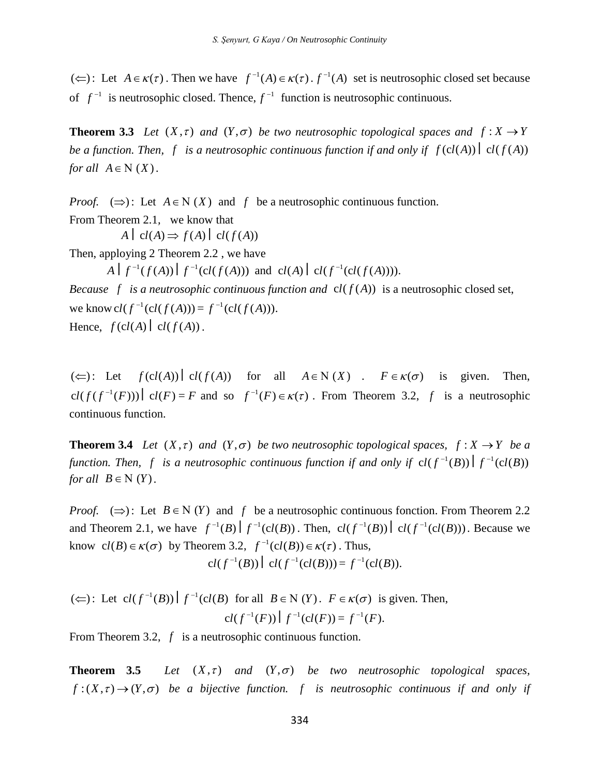Let  $A \in \kappa(\tau)$ . Then we have  $f^{-1}(A) \in \kappa(\tau)$ .  $f^{-1}(A)$  set is neutrosophic closed set because of  $f^{-1}$  is neutrosophic closed. Thence,  $f^{-1}$  function is neutrosophic continuous.

**Theorem 3.3** *Let*  $(X, \tau)$  *and*  $(Y, \sigma)$  *be two neutrosophic topological spaces and*  $f: X \rightarrow Y$ *be a function. Then, f is a neutrosophic continuous function if and only if*  $f(cl(A))| cl(f(A))$ *for all*  $A \in N(X)$ *.* 

*Proof.*  $(\Rightarrow)$ : Let  $A \in N(X)$  and f be a neutrosophic continuous function. From Theorem 2.1*,* we know that

 $A \mid cl(A) \Rightarrow f(A) \mid cl(f(A))$ 

Then, apploying 2 Theorem 2.2 , we have

 $A \mid f^{-1}(f(A)) \mid f^{-1}(cl(f(A)))$  and  $cl(A) \mid cl(f^{-1}(cl(f(A))))$ .

*Because*  $f$  *is a neutrosophic continuous function and*  $cl(f(A))$  *is a neutrosophic closed set,* we know  $cl(f^{-1}(cl(f(A))) = f^{-1}(cl(f(A))).$ Hence,  $f(cl(A) \mid cl(f(A))$ .

( $\Leftarrow$ ): Let  $f(cl(A))| cl(f(A))$  for all  $A \in N(X)$ .  $F \in \kappa(\sigma)$  is given. Then,  $cl(f(f^{-1}(F))) \mid cl(F) = F$  and so  $f^{-1}(F) \in \kappa(\tau)$ . From Theorem 3.2, f is a neutrosophic continuous function.

**Theorem 3.4** *Let*  $(X, \tau)$  *and*  $(Y, \sigma)$  *be two neutrosophic topological spaces,*  $f: X \rightarrow Y$  *be a function. Then, f is a neutrosophic continuous function if and only if*  $cl(f^{-1}(B)) | f^{-1}(cl(B))$ *for all*  $B \in N(Y)$ *.* 

( $\subset$ ): Let  $A \in \kappa(\tau)$ . Then we have  $f^{-1}(A) \in \kappa(\tau)$ <br>
of  $f^{-1}$  is neutrosophic closed. Thence,  $f^{-1}$  functi<br>
Theorem 3.3 Let  $(X, \tau)$  and  $(Y, \sigma)$  be two net<br>
be a function. Then, f is a neutrosophic continue<br>
for all *Proof.*  $(\Rightarrow)$ : Let  $B \in N(Y)$  and f be a neutrosophic continuous fonction. From Theorem 2.2 and Theorem 2.1, we have  $f^{-1}(B) \left| f^{-1}(cl(B)) \right|$ . Then,  $cl(f^{-1}(B)) \left| cl(f^{-1}(cl(B))) \right|$ . Because we know  $cl(B) \in \kappa(\sigma)$  by Theorem 3.2,  $f^{-1}(cl(B)) \in \kappa(\tau)$ . Thus,  $cl(f^{-1}(B)) \mid cl(f^{-1}(cl(B))) = f^{-1}(cl(B)).$ 

 $(\Leftarrow):$  Let  $cl(f^{-1}(B)) | f^{-1}(cl(B) \text{ for all } B \in N (Y)$ .  $F \in \kappa(\sigma)$  is given. Then,  $cl(f^{-1}(F)) \mid f^{-1}(cl(F)) = f^{-1}(F).$ 

From Theorem 3.2, f is a neutrosophic continuous function.

**Theorem 3.5**  $(X, \tau)$  and  $(Y, \sigma)$  be two neutrosophic topological spaces,  $f:(X,\tau) \to (Y,\sigma)$  be a bijective function. *f* is neutrosophic continuous if and only if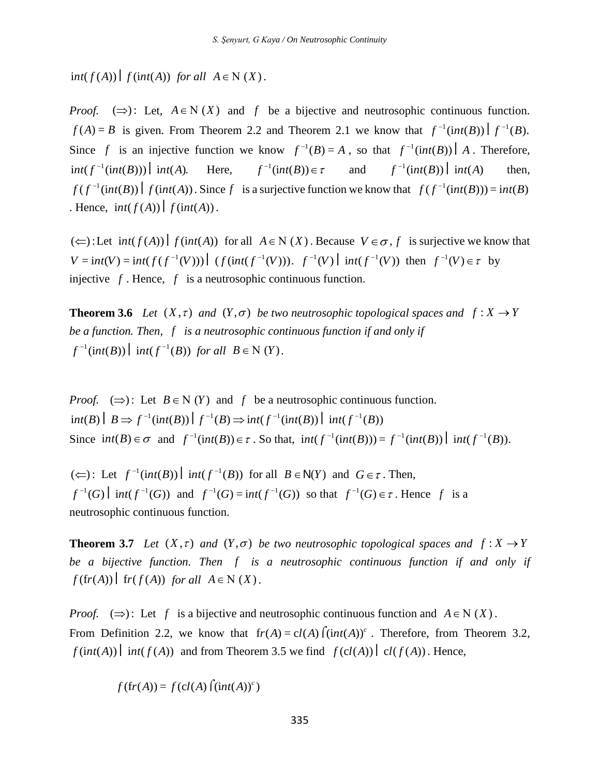*for all*  $A \in N(X)$ *.* 

fint( $f(A)$ )  $f$  (int( $A$ ))  $f$  (int( $A$ ))  $f$  (or all  $A \in N(X)$  and  $f$  be a bif  $f(A) = B$  is given. From Theorem 2.2 and Theorem  $f(A) = B$  is given. From Theorem 2.2 and Theorem  $f^{-1}(int(B))$ ]  $int(A)$ . Here,  $f^{-1}(int(B))$   $f(f^{-1}(int(B))$ ] *Proof.*  $(\Rightarrow)$ : Let,  $A \in N(X)$  and f be a bijective and neutrosophic continuous function.  $f(A) = B$  is given. From Theorem 2.2 and Theorem 2.1 we know that  $f^{-1}(int(B)) | f^{-1}(B)$ . Since f is an injective function we know  $f^{-1}(B) = A$ , so that  $f^{-1}(int(B)) | A$ . Therefore,  $int ( f^{-1} (int(B))) \mid int(A).$  Here,  $f^{-1}(int(B)) \in \tau$  and  $f^{-1}$ (int(B)) int(A) then,  $f(f^{-1}(int(B)) | f(int(A))$ . Since f is a surjective function we know that  $f(f^{-1}(int(B))) = int(B)$ . Hence,  $int(f(A)) | f(int(A))$ .

 $(\Leftarrow):$  Let  $int(f(A)) | f(int(A))$  for all  $A \in N(X)$ . Because  $V \in \sigma$ , f is surjective we know that  $V = int(V) = int(f(f^{-1}(V))) | (f(int(f^{-1}(V))). f^{-1}(V)) | int(f^{-1}(V))$  then  $f^{-1}(V) \in \tau$  by injective  $f$ . Hence,  $f$  is a neutrosophic continuous function.

**Theorem 3.6** *Let*  $(X, \tau)$  *and*  $(Y, \sigma)$  *be two neutrosophic topological spaces and*  $f: X \rightarrow Y$ be a function. Then, f is a neutrosophic continuous function if and only if  $f^{-1}$ (int(B)) | int( $f^{-1}(B)$ ) for all  $B \in N(Y)$ .

*Proof.*  $(\Rightarrow)$ : Let  $B \in N$  (*Y*) and *f* be a neutrosophic continuous function.  $int(B) | B \Rightarrow f^{-1}(int(B)) | f^{-1}(B) \Rightarrow int(f^{-1}(int(B)) | int(f^{-1}(B))|$ Since  $int(B) \in \sigma$  and  $f^{-1}(int(B)) \in \tau$ . So that,  $int(f^{-1}(int(B))) = f^{-1}(int(B))$   $int(f^{-1}(B))$ .

 $(\Leftarrow):$  Let  $f^{-1}(int(B))$   $int(f^{-1}(B))$  for all  $B \in N(Y)$  and  $G \in \tau$ . Then,  $f^{-1}(G)$  int( $f^{-1}(G)$ ) and  $f^{-1}(G) = \text{int}(f^{-1}(G))$  so that  $f^{-1}(G) \in \tau$ . Hence f is a neutrosophic continuous function.

**Theorem 3.7** *Let*  $(X, \tau)$  *and*  $(Y, \sigma)$  *be two neutrosophic topological spaces and*  $f: X \rightarrow Y$ be a bijective function. Then f is a neutrosophic continuous function if and only if  $f(f(r(A)) \mid fr(f(A))$  *for all*  $A \in N(X)$ *.* 

*Proof.*  $(\Rightarrow)$ : Let f is a bijective and neutrosophic continuous function and  $A \in N(X)$ . From Definition 2.2, we know that  $fr(A) = cl(A) \int (int(A))^c$ . Therefore, from Theorem 3.2, *f*( $int(A)$ )  $int(f(A))$  and from Theorem 3.5 we find  $f(cl(A)) | cl(f(A))$ . Hence,

$$
f(\text{fr}(A)) = f(\text{cl}(A) \text{ } (\text{int}(A))^c)
$$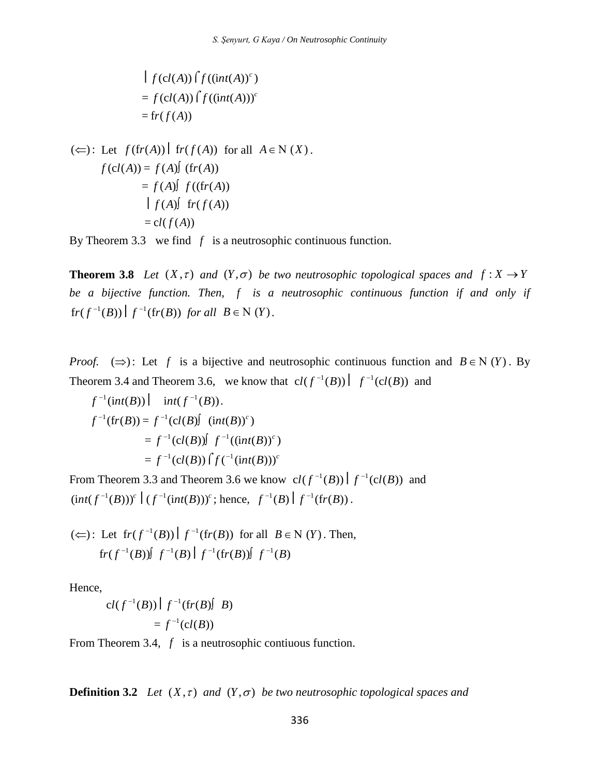$$
\begin{aligned} \n\mid f(cl(A)) \big( f((int(A))^c) \\ \n&= f(cl(A)) \big( f((int(A)))^c \\ \n&= fr(f(A)) \n\end{aligned}
$$

$$
(\Leftarrow): \text{Let } f(\text{fr}(A)) | \text{fr}(f(A)) \text{ for all } A \in \mathbb{N}(X).
$$

$$
f(\text{cl}(A)) = f(A) \text{f}(\text{fr}(A))
$$

$$
= f(A) \text{f}(\text{fr}(A))
$$

$$
| \text{f}(A) \text{f}(\text{fr}(A))
$$

$$
= \text{cl}(f(A))
$$

By Theorem 3.3 we find  $f$  is a neutrosophic continuous function.

**Theorem 3.8** *Let*  $(X, \tau)$  *and*  $(Y, \sigma)$  *be two neutrosophic topological spaces and*  $f: X \rightarrow Y$ be a bijective function. Then, f is a neutrosophic continuous function if and only if  $\int f^{-1}(B) f^{-1}(fr(B)) \text{ for all } B \in N(Y).$ 

*Proof.*  $(\Rightarrow)$ : Let f is a bijective and neutrosophic continuous function and  $B \in N(Y)$ . By Theorem 3.4 and Theorem 3.6, we know that  $cl(f^{-1}(B)) \left| f^{-1}(cl(B)) \right|$  and

$$
f^{-1}(int(B)) \Big| \quad int(f^{-1}(B)).
$$
  

$$
f^{-1}(fr(B)) = f^{-1}(cl(B) \int (int(B))^c)
$$
  

$$
= f^{-1}(cl(B)) \int f^{-1}((int(B))^c)
$$
  

$$
= f^{-1}(cl(B)) \int f^{(-1}(int(B)))^c
$$

From Theorem 3.3 and Theorem 3.6 we know  $cl(f^{-1}(B)) | f^{-1}(cl(B))$  and  $(int(f^{-1}(B)))^c \mid (f^{-1}(int(B)))^c$ ; hence,  $f^{-1}(B) \mid f^{-1}(fr(B))$ .

(⇔): Let 
$$
fr(f^{-1}(B)) | f^{-1}(fr(B))
$$
 for all  $B \in N(Y)$ . Then,  
 $fr(f^{-1}(B)) | f^{-1}(B) | f^{-1}(fr(B)) | f^{-1}(B)$ 

Hence,

$$
cl(f^{-1}(B)) | f^{-1}(fr(B)) | B)
$$
  
=  $f^{-1}(cl(B))$ 

From Theorem 3.4, f is a neutrosophic contiuous function.

**Definition 3.2** Let  $(X, \tau)$  and  $(Y, \sigma)$  be two neutrosophic topological spaces and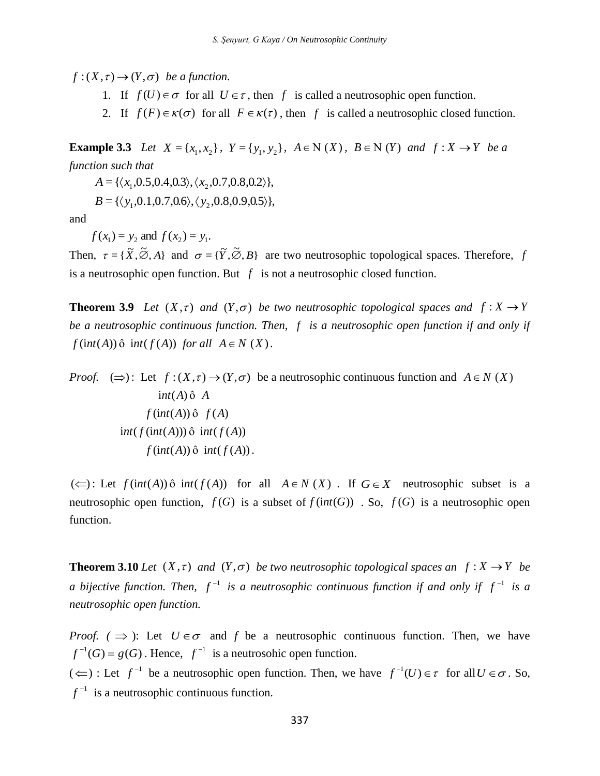$f:(X,\tau)\to(Y,\sigma)$  be a function.

- 1. If  $f(U) \in \sigma$  for all  $U \in \tau$ , then f is called a neutrosophic open function.
- 2. If  $f(F) \in \kappa(\sigma)$  for all  $F \in \kappa(\tau)$ , then f is called a neutrosophic closed function.

**Example 3.3** Let  $X = \{x_1, x_2\}$ ,  $Y = \{y_1, y_2\}$ ,  $A \in N(X)$ ,  $B \in N(Y)$  and  $f : X \to Y$  be a *function such that* 

 $A = {\langle x_1, 0.5, 0.4, 0.3 \rangle, \langle x_2, 0.7, 0.8, 0.2 \rangle},$ 

 $B = \{ \langle y_1, 0.1, 0.7, 0.6 \rangle, \langle y_2, 0.8, 0.9, 0.5 \rangle \},\$ 

and

 $f(x_1) = y_2$  and  $f(x_2) = y_1$ .

Then,  $\tau = {\{\widetilde{X}, \widetilde{\emptyset}, A\}}$  and  $\sigma = {\{\widetilde{Y}, \widetilde{\emptyset}, B\}}$  are two neutrosophic topological spaces. Therefore, *f* is a neutrosophic open function. But  $f$  is not a neutrosophic closed function.

**Theorem 3.9** Let  $(X, \tau)$  and  $(Y, \sigma)$  be two neutrosophic topological spaces and  $f: X \to Y$ be a neutrosophic continuous function. Then, f is a neutrosophic open function if and only if  $f(int(A))$   $\hat{o}$   $int(f(A))$  *for all*  $A \in N(X)$ *.* 

f :  $(X, \tau) \rightarrow (Y, \sigma)$  *be a function.*<br>
1. If  $f(U) \in \sigma$  for all  $U \in \tau$ , then f is c<br>
2. If  $f(F) \in \kappa(\sigma)$  for all  $F \in \kappa(\tau)$ , then<br>
Example 3.3 Let  $X = \{x_1, x_2\}$ ,  $Y = \{y_1, y_2\}$ ,  $A \in$ <br>
lunction such that<br>  $A = \{(x_1, 0.5$ *Proof.*  $(\Rightarrow)$ : Let  $f:(X, \tau) \rightarrow (Y, \sigma)$  be a neutrosophic continuous function and  $A \in N(X)$  $int(A) \hat{o} A$  $f(int(A)) \hat{o}$   $f(A)$  $int ( f(int(A))) \hat{o} int ( f(A) )$  $f(int(A)) \hat{o} int(f(A))$ .

 $(\Leftarrow)$ : Let  $f(int(A))$  ô  $int(f(A))$  for all  $A \in N(X)$ . If  $G \in X$  neutrosophic subset is a neutrosophic open function,  $f(G)$  is a subset of  $f(int(G))$ . So,  $f(G)$  is a neutrosophic open function.

**Theorem 3.10** *Let*  $(X, \tau)$  *and*  $(Y, \sigma)$  *be two neutrosophic topological spaces an*  $f : X \rightarrow Y$  *be a* bijective function. Then,  $f^{-1}$  is a neutrosophic continuous function if and only if  $f^{-1}$  is a *neutrosophic open function.*

*Proof.*  $(\Rightarrow)$ : Let  $U \in \sigma$  and *f* be a neutrosophic continuous function. Then, we have  $f^{-1}(G) = g(G)$ . Hence,  $f^{-1}$  is a neutrosohic open function.  $(\Leftarrow)$ : Let  $f^{-1}$  be a neutrosophic open function. Then, we have  $f^{-1}(U) \in \tau$  for all  $U \in \sigma$ . So,  $f^{-1}$  is a neutrosophic continuous function.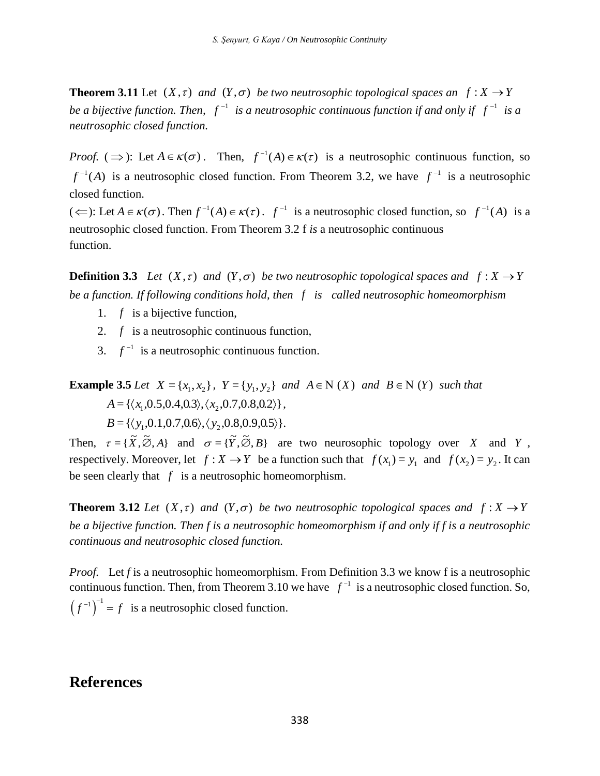**Theorem 3.11** Let  $(X, \tau)$  and  $(Y, \sigma)$  be two neutrosophic topological spaces an  $f: X \to Y$ *be a bijective function. Then,*  $f^{-1}$  *is a neutrosophic continuous function if and only if*  $f^{-1}$  *is a neutrosophic closed function.*

*Proof.*  $(\Rightarrow)$ : Let  $A \in \kappa(\sigma)$ . Then,  $f^{-1}(A) \in \kappa(\tau)$  is a neutrosophic continuous function, so  $f^{-1}(A)$  is a neutrosophic closed function. From Theorem 3.2, we have  $f^{-1}$  is a neutrosophic closed function.

 $(\Leftarrow)$ : Let  $A \in \kappa(\sigma)$ . Then  $f^{-1}(A) \in \kappa(\tau)$ .  $f^{-1}$  is a neutrosophic closed function, so  $f^{-1}(A)$  is a neutrosophic closed function. From Theorem 3.2 f *is* a neutrosophic continuous function.

**Definition 3.3** Let  $(X, \tau)$  and  $(Y, \sigma)$  be two neutrosophic topological spaces and  $f: X \to Y$ *be a function. If following conditions hold, then f is called neutrosophic homeomorphism*

- 1.  $f$  is a bijective function,
- 2.  $f$  is a neutrosophic continuous function,
- 3.  $f^{-1}$  is a neutrosophic continuous function.

**Example 3.5** *Let*  $X = \{x_1, x_2\}$ ,  $Y = \{y_1, y_2\}$  *and*  $A \in N(X)$  *and*  $B \in N(Y)$  *such that*  $A = \{ \langle x_1, 0.5, 0.4, 0.3 \rangle, \langle x_2, 0.7, 0.8, 0.2 \rangle \},$  ${B} = {\langle y_1, 0.1, 0.7, 0.6 \rangle, \langle y_2, 0.8, 0.9, 0.5 \rangle}.$ 

Then,  $\tau = {\{\widetilde{X}, \widetilde{\emptyset}, A\}}$  and  $\sigma = {\{\widetilde{Y}, \widetilde{\emptyset}, B\}}$  are two neurosophic topology over X and Y, respectively. Moreover, let  $f: X \to Y$  be a function such that  $f(x_1) = y_1$  and  $f(x_2) = y_2$ . It can be seen clearly that  $f$  is a neutrosophic homeomorphism.

**Theorem 3.12** *Let*  $(X, \tau)$  *and*  $(Y, \sigma)$  *be two neutrosophic topological spaces and*  $f: X \rightarrow Y$ *be a bijective function. Then f is a neutrosophic homeomorphism if and only if f is a neutrosophic continuous and neutrosophic closed function.*

*Proof.* Let *f* is a neutrosophic homeomorphism. From Definition 3.3 we know f is a neutrosophic continuous function. Then, from Theorem 3.10 we have  $f^{-1}$  is a neutrosophic closed function. So,  $(f^{-1})^{-1} = f$  is a neutrosophic closed function.

### **References**